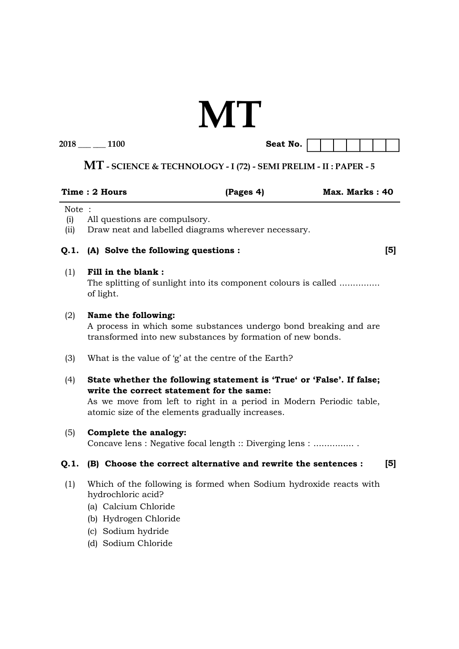# **MT**

| 2018 |  |  |  | 1100 |
|------|--|--|--|------|
|------|--|--|--|------|

Seat No.  $\boxed{}$ 

## **MT - SCIENCE & TECHNOLOGY - I (72) - SEMI PRELIM - II : PAPER - 5**

|                      | Time: 2 Hours                                                                                                                                                                                                                                 | (Pages 4) | Max. Marks: 40 |                |
|----------------------|-----------------------------------------------------------------------------------------------------------------------------------------------------------------------------------------------------------------------------------------------|-----------|----------------|----------------|
| Note:<br>(i)<br>(ii) | All questions are compulsory.<br>Draw neat and labelled diagrams wherever necessary.                                                                                                                                                          |           |                |                |
| Q.1.                 | (A) Solve the following questions :                                                                                                                                                                                                           |           |                | $\mathsf{[5]}$ |
| (1)                  | Fill in the blank:<br>The splitting of sunlight into its component colours is called<br>of light.                                                                                                                                             |           |                |                |
| (2)                  | Name the following:<br>A process in which some substances undergo bond breaking and are<br>transformed into new substances by formation of new bonds.                                                                                         |           |                |                |
| (3)                  | What is the value of 'g' at the centre of the Earth?                                                                                                                                                                                          |           |                |                |
| (4)                  | State whether the following statement is 'True' or 'False'. If false;<br>write the correct statement for the same:<br>As we move from left to right in a period in Modern Periodic table,<br>atomic size of the elements gradually increases. |           |                |                |
| (5)                  | Complete the analogy:<br>Concave lens : Negative focal length :: Diverging lens :                                                                                                                                                             |           |                |                |
| Q.1.                 | (B) Choose the correct alternative and rewrite the sentences :                                                                                                                                                                                |           |                | $\mathsf{[5]}$ |
| (1)                  | Which of the following is formed when Sodium hydroxide reacts with<br>hydrochloric acid?<br>(a) Calcium Chloride<br>(b) Hydrogen Chloride<br>(c) Sodium hydride<br>(d) Sodium Chloride                                                        |           |                |                |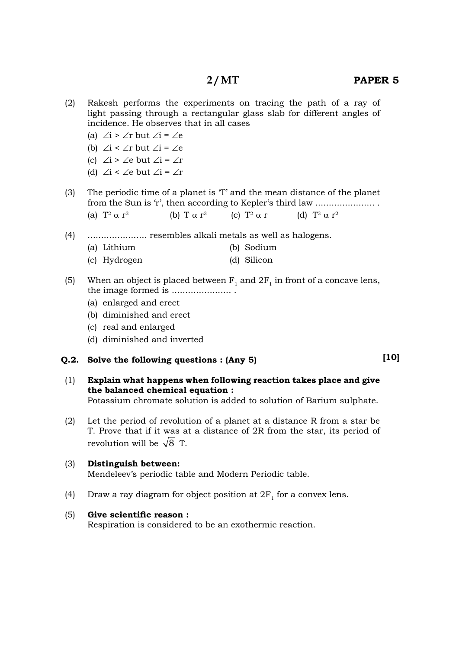- (a)  $\angle i$  >  $\angle r$  but  $\angle i$  =  $\angle e$
- (b)  $\angle i < \angle r$  but  $\angle i = \angle e$
- (c)  $\angle i$  >  $\angle e$  but  $\angle i$  =  $\angle r$
- (d)  $\angle i < \angle e$  but  $\angle i = \angle r$
- (3) The periodic time of a planet is 'T' and the mean distance of the planet from the Sun is 'r', then according to Kepler's third law ...................... . (a)  $T^2 \alpha r^3$ (b) T  $\alpha$  r<sup>3</sup> (c)  $T^2 \alpha r$  $2 \alpha r$  (d)  $T^3 \alpha r^2$
- (4) ...................... resembles alkali metals as well as halogens.
	- (a) Lithium (b) Sodium
	- (c) Hydrogen (d) Silicon
- (5) When an object is placed between  $F_1$  and  $2F_1$  in front of a concave lens, the image formed is ...................... .
	- (a) enlarged and erect
	- (b) diminished and erect
	- (c) real and enlarged
	- (d) diminished and inverted

#### **Q.2. Solve the following questions : (Any 5)**

 (1) **Explain what happens when following reaction takes place and give the balanced chemical equation :**

Potassium chromate solution is added to solution of Barium sulphate.

 (2) Let the period of revolution of a planet at a distance R from a star be T. Prove that if it was at a distance of 2R from the star, its period of revolution will be  $\sqrt{8}$  T.

#### (3) **Distinguish between:**

Mendeleev's periodic table and Modern Periodic table.

(4) Draw a ray diagram for object position at  $2F_1$  for a convex lens.

#### (5) Give scientific reason :

Respiration is considered to be an exothermic reaction.

**[10]**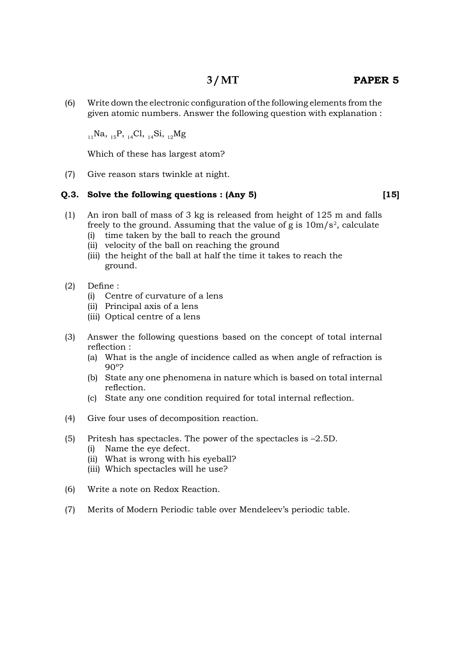$(6)$  Write down the electronic configuration of the following elements from the given atomic numbers. Answer the following question with explanation :

 $_{11}$ Na,  $_{15}$ P,  $_{14}$ Cl,  $_{14}$ Si,  $_{12}$ Mg

Which of these has largest atom?

(7) Give reason stars twinkle at night.

#### **Q.3. Solve the following questions : (Any 5)**

- (1) An iron ball of mass of 3 kg is released from height of 125 m and falls freely to the ground. Assuming that the value of g is  $10\mathrm{m/s^2},$  calculate
	- (i) time taken by the ball to reach the ground
	- (ii) velocity of the ball on reaching the ground
	- (iii) the height of the ball at half the time it takes to reach the ground.
- $(2)$  Define :
	- (i) Centre of curvature of a lens
	- (ii) Principal axis of a lens
	- (iii) Optical centre of a lens
- (3) Answer the following questions based on the concept of total internal reflection :
	- (a) What is the angle of incidence called as when angle of refraction is 90º?
	- (b) State any one phenomena in nature which is based on total internal reflection.
	- (c) State any one condition required for total internal reflection.
- (4) Give four uses of decomposition reaction.
- (5) Pritesh has spectacles. The power of the spectacles is –2.5D.
	- (i) Name the eye defect.
	- (ii) What is wrong with his eyeball?
	- (iii) Which spectacles will he use?
- (6) Write a note on Redox Reaction.
- (7) Merits of Modern Periodic table over Mendeleev's periodic table.